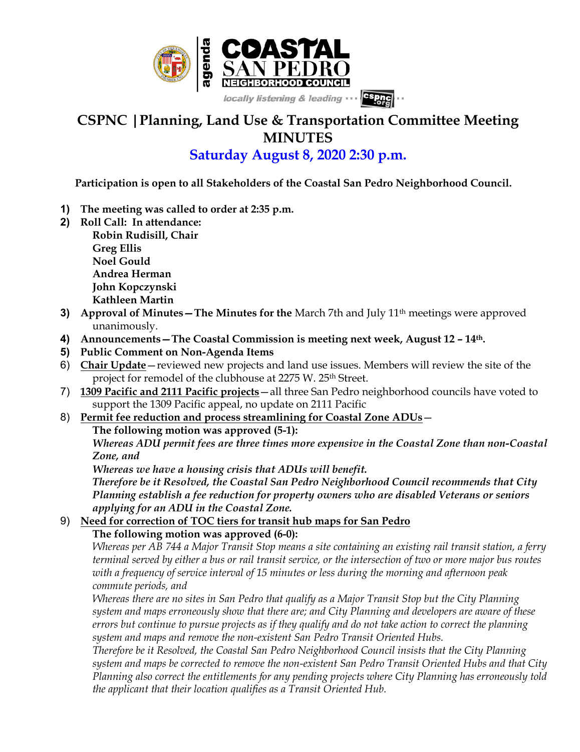

## **CSPNC |Planning, Land Use & Transportation Committee Meeting MINUTES**

## **Saturday August 8, 2020 2:30 p.m.**

 **Participation is open to all Stakeholders of the Coastal San Pedro Neighborhood Council.**

- **1) The meeting was called to order at 2:35 p.m.**
- **2) Roll Call: In attendance:**

**Robin Rudisill, Chair Greg Ellis Noel Gould Andrea Herman John Kopczynski Kathleen Martin**

- **3) Approval of Minutes-The Minutes for the** March 7th and July 11<sup>th</sup> meetings were approved unanimously.
- **4) Announcements—The Coastal Commission is meeting next week, August 12 – 14th.**
- **5) Public Comment on Non-Agenda Items**
- 6) **Chair Update**—reviewed new projects and land use issues. Members will review the site of the project for remodel of the clubhouse at 2275 W. 25<sup>th</sup> Street.
- 7) **1309 Pacific and 2111 Pacific projects**—all three San Pedro neighborhood councils have voted to support the 1309 Pacific appeal, no update on 2111 Pacific
- 8) **Permit fee reduction and process streamlining for Coastal Zone ADUs The following motion was approved (5-1):**

*Whereas ADU permit fees are three times more expensive in the Coastal Zone than non-Coastal Zone, and*

*Whereas we have a housing crisis that ADUs will benefit.*

*Therefore be it Resolved, the Coastal San Pedro Neighborhood Council recommends that City Planning establish a fee reduction for property owners who are disabled Veterans or seniors applying for an ADU in the Coastal Zone.*

## 9) **Need for correction of TOC tiers for transit hub maps for San Pedro The following motion was approved (6-0):**

*Whereas per AB 744 a Major Transit Stop means a site containing an existing rail transit station, a ferry terminal served by either a bus or rail transit service, or the intersection of two or more major bus routes with a frequency of service interval of 15 minutes or less during the morning and afternoon peak commute periods, and*

*Whereas there are no sites in San Pedro that qualify as a Major Transit Stop but the City Planning system and maps erroneously show that there are; and City Planning and developers are aware of these errors but continue to pursue projects as if they qualify and do not take action to correct the planning system and maps and remove the non-existent San Pedro Transit Oriented Hubs.*

*Therefore be it Resolved, the Coastal San Pedro Neighborhood Council insists that the City Planning system and maps be corrected to remove the non-existent San Pedro Transit Oriented Hubs and that City Planning also correct the entitlements for any pending projects where City Planning has erroneously told the applicant that their location qualifies as a Transit Oriented Hub.*